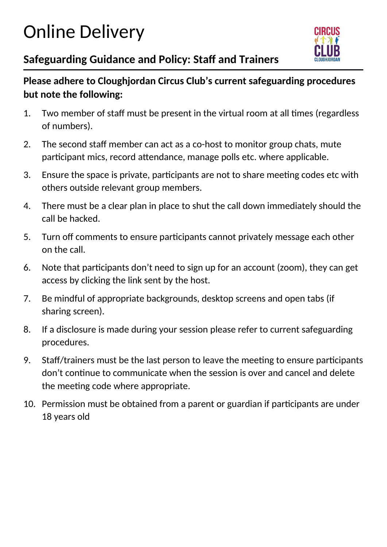# Online Delivery



## **Safeguarding Guidance and Policy: Staff and Trainers**

#### **Please adhere to Cloughjordan Circus Club's current safeguarding procedures but note the following:**

- 1. Two member of staff must be present in the virtual room at all times (regardless of numbers).
- 2. The second staff member can act as a co-host to monitor group chats, mute participant mics, record attendance, manage polls etc. where applicable.
- 3. Ensure the space is private, participants are not to share meeting codes etc with others outside relevant group members.
- 4. There must be a clear plan in place to shut the call down immediately should the call be hacked.
- 5. Turn off comments to ensure participants cannot privately message each other on the call.
- 6. Note that participants don't need to sign up for an account (zoom), they can get access by clicking the link sent by the host.
- 7. Be mindful of appropriate backgrounds, desktop screens and open tabs (if sharing screen).
- 8. If a disclosure is made during your session please refer to current safeguarding procedures.
- 9. Staff/trainers must be the last person to leave the meeting to ensure participants don't continue to communicate when the session is over and cancel and delete the meeting code where appropriate.
- 10. Permission must be obtained from a parent or guardian if participants are under 18 years old